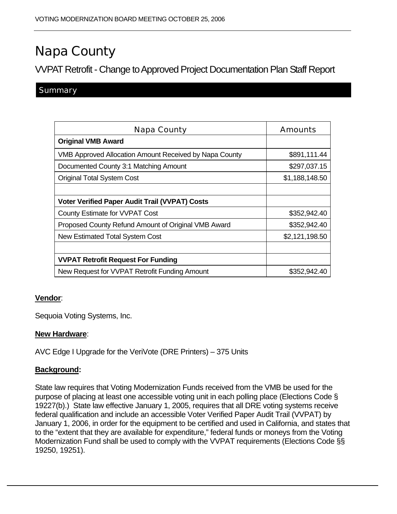# Napa County

VVPAT Retrofit - Change to Approved Project Documentation Plan Staff Report

## **Summary**

| Napa County                                                   | Amounts        |
|---------------------------------------------------------------|----------------|
| <b>Original VMB Award</b>                                     |                |
| <b>VMB Approved Allocation Amount Received by Napa County</b> | \$891,111.44   |
| Documented County 3:1 Matching Amount                         | \$297,037.15   |
| <b>Original Total System Cost</b>                             | \$1,188,148.50 |
|                                                               |                |
| <b>Voter Verified Paper Audit Trail (VVPAT) Costs</b>         |                |
| County Estimate for VVPAT Cost                                | \$352,942.40   |
| Proposed County Refund Amount of Original VMB Award           | \$352,942.40   |
| New Estimated Total System Cost                               | \$2,121,198.50 |
|                                                               |                |
| <b>VVPAT Retrofit Request For Funding</b>                     |                |
| New Request for VVPAT Retrofit Funding Amount                 | \$352,942.40   |

### **Vendor**:

Sequoia Voting Systems, Inc.

#### **New Hardware**:

AVC Edge I Upgrade for the VeriVote (DRE Printers) – 375 Units

### **Background:**

State law requires that Voting Modernization Funds received from the VMB be used for the purpose of placing at least one accessible voting unit in each polling place (Elections Code § 19227(b).) State law effective January 1, 2005, requires that all DRE voting systems receive federal qualification and include an accessible Voter Verified Paper Audit Trail (VVPAT) by January 1, 2006, in order for the equipment to be certified and used in California, and states that to the "extent that they are available for expenditure," federal funds or moneys from the Voting Modernization Fund shall be used to comply with the VVPAT requirements (Elections Code §§ 19250, 19251).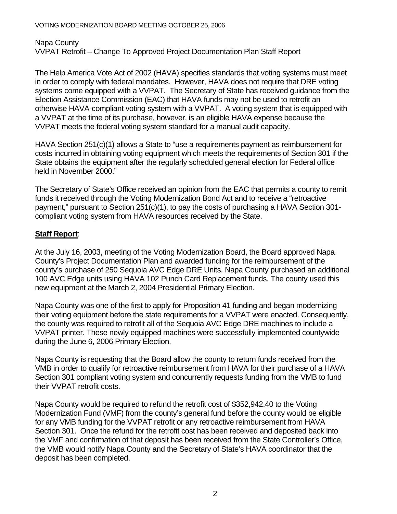Napa County VVPAT Retrofit – Change To Approved Project Documentation Plan Staff Report

The Help America Vote Act of 2002 (HAVA) specifies standards that voting systems must meet in order to comply with federal mandates. However, HAVA does not require that DRE voting systems come equipped with a VVPAT. The Secretary of State has received guidance from the Election Assistance Commission (EAC) that HAVA funds may not be used to retrofit an otherwise HAVA-compliant voting system with a VVPAT. A voting system that is equipped with a VVPAT at the time of its purchase, however, is an eligible HAVA expense because the VVPAT meets the federal voting system standard for a manual audit capacity.

HAVA Section 251(c)(1) allows a State to "use a requirements payment as reimbursement for costs incurred in obtaining voting equipment which meets the requirements of Section 301 if the State obtains the equipment after the regularly scheduled general election for Federal office held in November 2000."

The Secretary of State's Office received an opinion from the EAC that permits a county to remit funds it received through the Voting Modernization Bond Act and to receive a "retroactive payment," pursuant to Section 251(c)(1), to pay the costs of purchasing a HAVA Section 301 compliant voting system from HAVA resources received by the State.

## **Staff Report**:

At the July 16, 2003, meeting of the Voting Modernization Board, the Board approved Napa County's Project Documentation Plan and awarded funding for the reimbursement of the county's purchase of 250 Sequoia AVC Edge DRE Units. Napa County purchased an additional 100 AVC Edge units using HAVA 102 Punch Card Replacement funds. The county used this new equipment at the March 2, 2004 Presidential Primary Election.

Napa County was one of the first to apply for Proposition 41 funding and began modernizing their voting equipment before the state requirements for a VVPAT were enacted. Consequently, the county was required to retrofit all of the Sequoia AVC Edge DRE machines to include a VVPAT printer. These newly equipped machines were successfully implemented countywide during the June 6, 2006 Primary Election.

Napa County is requesting that the Board allow the county to return funds received from the VMB in order to qualify for retroactive reimbursement from HAVA for their purchase of a HAVA Section 301 compliant voting system and concurrently requests funding from the VMB to fund their VVPAT retrofit costs.

Napa County would be required to refund the retrofit cost of \$352,942.40 to the Voting Modernization Fund (VMF) from the county's general fund before the county would be eligible for any VMB funding for the VVPAT retrofit or any retroactive reimbursement from HAVA Section 301. Once the refund for the retrofit cost has been received and deposited back into the VMF and confirmation of that deposit has been received from the State Controller's Office, the VMB would notify Napa County and the Secretary of State's HAVA coordinator that the deposit has been completed.